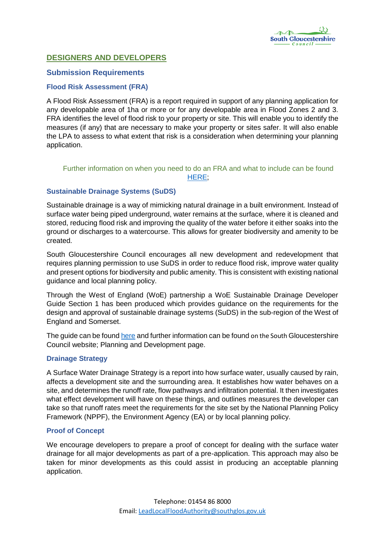

# **DESIGNERS AND DEVELOPERS**

# **Submission Requirements**

## **Flood Risk Assessment (FRA)**

A Flood Risk Assessment (FRA) is a report required in support of any planning application for any developable area of 1ha or more or for any developable area in Flood Zones 2 and 3. FRA identifies the level of flood risk to your property or site. This will enable you to identify the measures (if any) that are necessary to make your property or sites safer. It will also enable the LPA to assess to what extent that risk is a consideration when determining your planning application.

# Further information on when you need to do an FRA and what to include can be found [HERE;](https://www.gov.uk/guidance/flood-risk-assessment-for-planning-applications)

# **Sustainable Drainage Systems (SuDS)**

Sustainable drainage is a way of mimicking natural drainage in a built environment. Instead of surface water being piped underground, water remains at the surface, where it is cleaned and stored, reducing flood risk and improving the quality of the water before it either soaks into the ground or discharges to a watercourse. This allows for greater biodiversity and amenity to be created.

South Gloucestershire Council encourages all new development and redevelopment that requires planning permission to use SuDS in order to reduce flood risk, improve water quality and present options for biodiversity and public amenity. This is consistent with existing national guidance and local planning policy.

Through the West of England (WoE) partnership a WoE Sustainable Drainage Developer Guide Section 1 has been produced which provides guidance on the requirements for the design and approval of sustainable drainage systems (SuDS) in the sub-region of the West of England and Somerset.

The guide can be found [here](http://www.southglos.gov.uk/documents/WoE-Sustainable-Drainage-Developer-Guide.pdf) and further information can be found on the South Gloucestershire Council website; Planning and Development page.

## **Drainage Strategy**

A Surface Water Drainage Strategy is a report into how surface water, usually caused by rain, affects a development site and the surrounding area. It establishes how water behaves on a site, and determines the runoff rate, flow pathways and infiltration potential. It then investigates what effect development will have on these things, and outlines measures the developer can take so that runoff rates meet the requirements for the site set by the National Planning Policy Framework (NPPF), the Environment Agency (EA) or by local planning policy.

## **Proof of Concept**

We encourage developers to prepare a proof of concept for dealing with the surface water drainage for all major developments as part of a pre-application. This approach may also be taken for minor developments as this could assist in producing an acceptable planning application.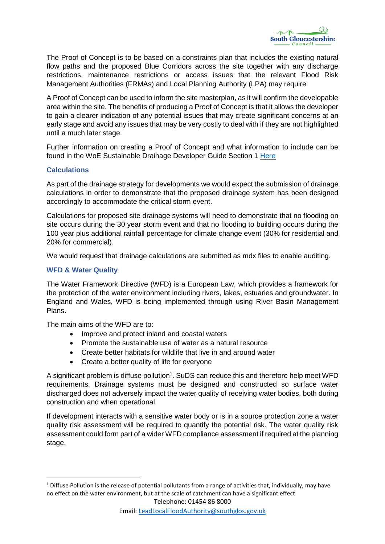

The Proof of Concept is to be based on a constraints plan that includes the existing natural flow paths and the proposed Blue Corridors across the site together with any discharge restrictions, maintenance restrictions or access issues that the relevant Flood Risk Management Authorities (FRMAs) and Local Planning Authority (LPA) may require.

A Proof of Concept can be used to inform the site masterplan, as it will confirm the developable area within the site. The benefits of producing a Proof of Concept is that it allows the developer to gain a clearer indication of any potential issues that may create significant concerns at an early stage and avoid any issues that may be very costly to deal with if they are not highlighted until a much later stage.

Further information on creating a Proof of Concept and what information to include can be found in the WoE Sustainable Drainage Developer Guide Section 1 [Here](http://www.southglos.gov.uk/documents/WoE-Sustainable-Drainage-Developer-Guide.pdf)

### **Calculations**

As part of the drainage strategy for developments we would expect the submission of drainage calculations in order to demonstrate that the proposed drainage system has been designed accordingly to accommodate the critical storm event.

Calculations for proposed site drainage systems will need to demonstrate that no flooding on site occurs during the 30 year storm event and that no flooding to building occurs during the 100 year plus additional rainfall percentage for climate change event (30% for residential and 20% for commercial).

We would request that drainage calculations are submitted as mdx files to enable auditing.

## **WFD & Water Quality**

**.** 

The Water Framework Directive (WFD) is a European Law, which provides a framework for the protection of the water environment including rivers, lakes, estuaries and groundwater. In England and Wales, WFD is being implemented through using River Basin Management Plans.

The main aims of the WFD are to:

- Improve and protect inland and coastal waters
- Promote the sustainable use of water as a natural resource
- Create better habitats for wildlife that live in and around water
- Create a better quality of life for everyone

A significant problem is diffuse pollution<sup>1</sup>. SuDS can reduce this and therefore help meet WFD requirements. Drainage systems must be designed and constructed so surface water discharged does not adversely impact the water quality of receiving water bodies, both during construction and when operational.

If development interacts with a sensitive water body or is in a source protection zone a water quality risk assessment will be required to quantify the potential risk. The water quality risk assessment could form part of a wider WFD compliance assessment if required at the planning stage.

 $1$  Diffuse Pollution is the release of potential pollutants from a range of activities that, individually, may have no effect on the water environment, but at the scale of catchment can have a significant effect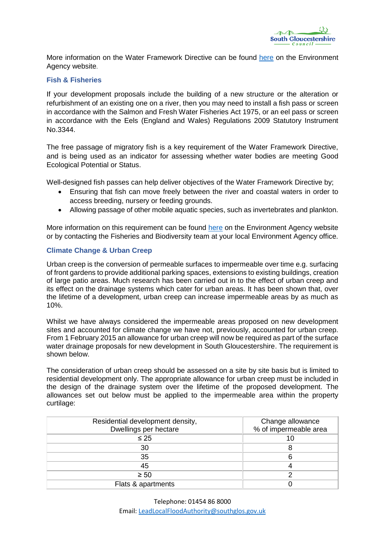

More information on the Water Framework Directive can be found [here](https://www.gov.uk/government/collections/river-basin-management-plans-2009) on the Environment Agency website.

### **Fish & Fisheries**

If your development proposals include the building of a new structure or the alteration or refurbishment of an existing one on a river, then you may need to install a fish pass or screen in accordance with the Salmon and Fresh Water Fisheries Act 1975, or an eel pass or screen in accordance with the Eels (England and Wales) Regulations 2009 Statutory Instrument No.3344.

The free passage of migratory fish is a key requirement of the Water Framework Directive, and is being used as an indicator for assessing whether water bodies are meeting Good Ecological Potential or Status.

Well-designed fish passes can help deliver objectives of the Water Framework Directive by;

- Ensuring that fish can move freely between the river and coastal waters in order to access breeding, nursery or feeding grounds.
- Allowing passage of other mobile aquatic species, such as invertebrates and plankton.

More information on this requirement can be found [here](https://www.gov.uk/guidance/fish-pass-approval) on the Environment Agency website or by contacting the Fisheries and Biodiversity team at your local Environment Agency office.

### **Climate Change & Urban Creep**

Urban creep is the conversion of permeable surfaces to impermeable over time e.g. surfacing of front gardens to provide additional parking spaces, extensions to existing buildings, creation of large patio areas. Much research has been carried out in to the effect of urban creep and its effect on the drainage systems which cater for urban areas. It has been shown that, over the lifetime of a development, urban creep can increase impermeable areas by as much as 10%.

Whilst we have always considered the impermeable areas proposed on new development sites and accounted for climate change we have not, previously, accounted for urban creep. From 1 February 2015 an allowance for urban creep will now be required as part of the surface water drainage proposals for new development in South Gloucestershire. The requirement is shown below.

The consideration of urban creep should be assessed on a site by site basis but is limited to residential development only. The appropriate allowance for urban creep must be included in the design of the drainage system over the lifetime of the proposed development. The allowances set out below must be applied to the impermeable area within the property curtilage:

| Residential development density,<br>Dwellings per hectare | Change allowance<br>% of impermeable area |
|-----------------------------------------------------------|-------------------------------------------|
| $\leq 25$                                                 | 10                                        |
| 30                                                        |                                           |
| 35                                                        |                                           |
| 45                                                        |                                           |
| $\geq 50$                                                 |                                           |
| Flats & apartments                                        |                                           |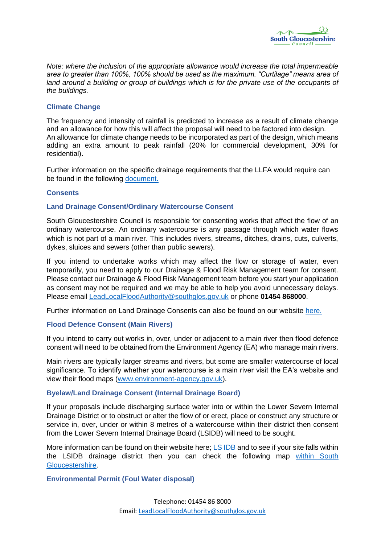

*Note: where the inclusion of the appropriate allowance would increase the total impermeable area to greater than 100%, 100% should be used as the maximum. "Curtilage" means area of*  land around a building or group of buildings which is for the private use of the occupants of *the buildings.*

## **Climate Change**

The frequency and intensity of rainfall is predicted to increase as a result of climate change and an allowance for how this will affect the proposal will need to be factored into design. An allowance for climate change needs to be incorporated as part of the design, which means adding an extra amount to peak rainfall (20% for commercial development, 30% for residential).

Further information on the specific drainage requirements that the LLFA would require can be found in the following [document.](LLFA%20drainage%20requirements%20list%20(Final%20Draft%20290616).docx) 

#### **Consents**

#### **Land Drainage Consent/Ordinary Watercourse Consent**

South Gloucestershire Council is responsible for consenting works that affect the flow of an ordinary watercourse. An ordinary watercourse is any passage through which water flows which is not part of a main river. This includes rivers, streams, ditches, drains, cuts, culverts, dykes, sluices and sewers (other than public sewers).

If you intend to undertake works which may affect the flow or storage of water, even temporarily, you need to apply to our Drainage & Flood Risk Management team for consent. Please contact our Drainage & Flood Risk Management team before you start your application as consent may not be required and we may be able to help you avoid unnecessary delays. Please email [LeadLocalFloodAuthority@southglos.gov.uk](mailto:LeadLocalFloodAuthority@southglos.gov.uk) or phone **01454 868000**.

Further information on Land Drainage Consents can also be found on our website [here.](../../Land%20Drainage%20(%20Land%20&%20home%20owners)/Consents/Land%20Drainage%20Consents%20(Final%20Draft%20230616).docx)

#### **Flood Defence Consent (Main Rivers)**

If you intend to carry out works in, over, under or adjacent to a main river then flood defence consent will need to be obtained from the Environment Agency (EA) who manage main rivers.

Main rivers are typically larger streams and rivers, but some are smaller watercourse of local significance. To identify whether your watercourse is a main river visit the EA's website and view their flood maps [\(www.environment-agency.gov.uk\)](http://www.environment-agency.gov.uk/).

#### **Byelaw/Land Drainage Consent (Internal Drainage Board)**

If your proposals include discharging surface water into or within the Lower Severn Internal Drainage District or to obstruct or alter the flow of or erect, place or construct any structure or service in, over, under or within 8 metres of a watercourse within their district then consent from the Lower Severn Internal Drainage Board (LSIDB) will need to be sought.

More information can be found on their website here; [LS IDB](http://www.lowersevernidb.org.uk/) and to see if your site falls within the LSIDB drainage district then you can check the following map [within South](http://hosted.southglos.gov.uk/acrobat/SFRA/Figure2.pdf)  [Gloucestershire.](http://hosted.southglos.gov.uk/acrobat/SFRA/Figure2.pdf)

### **Environmental Permit (Foul Water disposal)**